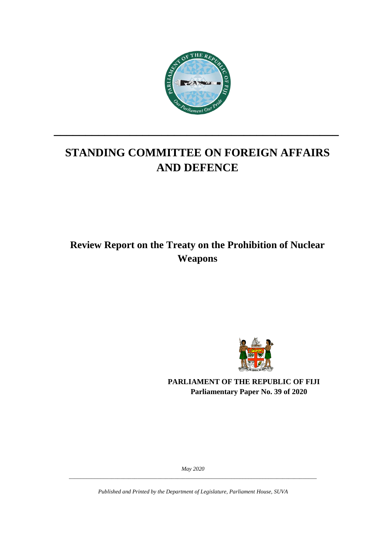

# **STANDING COMMITTEE ON FOREIGN AFFAIRS AND DEFENCE**

**\_\_\_\_\_\_\_\_\_\_\_\_\_\_\_\_\_\_\_\_\_\_\_\_\_\_\_\_\_\_\_\_\_\_\_\_\_\_\_\_\_\_\_\_\_**

## **Review Report on the Treaty on the Prohibition of Nuclear Weapons**



**PARLIAMENT OF THE REPUBLIC OF FIJI Parliamentary Paper No. 39 of 2020**

*May 2020 \_\_\_\_\_\_\_\_\_\_\_\_\_\_\_\_\_\_\_\_\_\_\_\_\_\_\_\_\_\_\_\_\_\_\_\_\_\_\_\_\_\_\_\_\_\_\_\_\_\_\_\_\_\_\_\_\_\_\_\_\_\_\_\_\_\_\_\_\_\_\_\_\_\_\_\_\_\_\_\_\_\_\_\_\_\_\_*

*Published and Printed by the Department of Legislature, Parliament House, SUVA*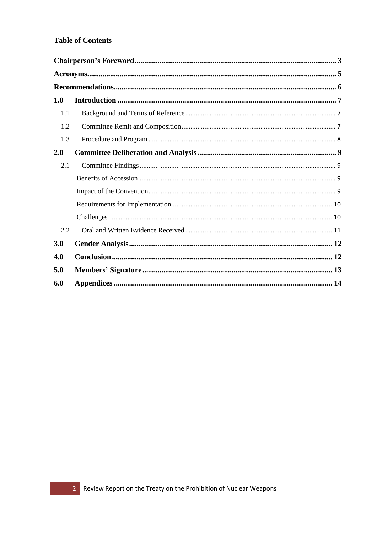#### **Table of Contents**

| 1.0 |  |
|-----|--|
| 1.1 |  |
| 1.2 |  |
| 1.3 |  |
| 2.0 |  |
| 2.1 |  |
|     |  |
|     |  |
|     |  |
|     |  |
| 2.2 |  |
| 3.0 |  |
| 4.0 |  |
| 5.0 |  |
| 6.0 |  |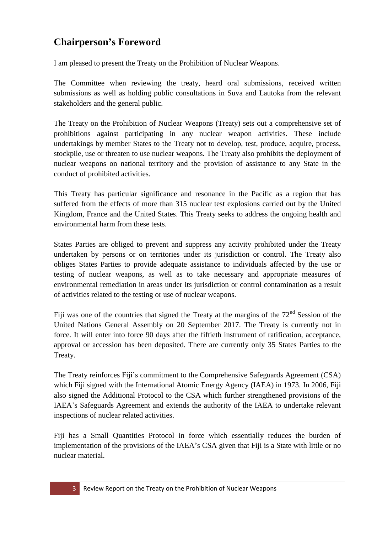## <span id="page-2-0"></span>**Chairperson's Foreword**

I am pleased to present the Treaty on the Prohibition of Nuclear Weapons.

The Committee when reviewing the treaty, heard oral submissions, received written submissions as well as holding public consultations in Suva and Lautoka from the relevant stakeholders and the general public.

The Treaty on the Prohibition of Nuclear Weapons (Treaty) sets out a comprehensive set of prohibitions against participating in any nuclear weapon activities. These include undertakings by member States to the Treaty not to develop, test, produce, acquire, process, stockpile, use or threaten to use nuclear weapons. The Treaty also prohibits the deployment of nuclear weapons on national territory and the provision of assistance to any State in the conduct of prohibited activities.

This Treaty has particular significance and resonance in the Pacific as a region that has suffered from the effects of more than 315 nuclear test explosions carried out by the United Kingdom, France and the United States. This Treaty seeks to address the ongoing health and environmental harm from these tests.

States Parties are obliged to prevent and suppress any activity prohibited under the Treaty undertaken by persons or on territories under its jurisdiction or control. The Treaty also obliges States Parties to provide adequate assistance to individuals affected by the use or testing of nuclear weapons, as well as to take necessary and appropriate measures of environmental remediation in areas under its jurisdiction or control contamination as a result of activities related to the testing or use of nuclear weapons.

Fiji was one of the countries that signed the Treaty at the margins of the  $72<sup>nd</sup>$  Session of the United Nations General Assembly on 20 September 2017. The Treaty is currently not in force. It will enter into force 90 days after the fiftieth instrument of ratification, acceptance, approval or accession has been deposited. There are currently only 35 States Parties to the Treaty.

The Treaty reinforces Fiji's commitment to the Comprehensive Safeguards Agreement (CSA) which Fiji signed with the International Atomic Energy Agency (IAEA) in 1973. In 2006, Fiji also signed the Additional Protocol to the CSA which further strengthened provisions of the IAEA's Safeguards Agreement and extends the authority of the IAEA to undertake relevant inspections of nuclear related activities.

Fiji has a Small Quantities Protocol in force which essentially reduces the burden of implementation of the provisions of the IAEA's CSA given that Fiji is a State with little or no nuclear material.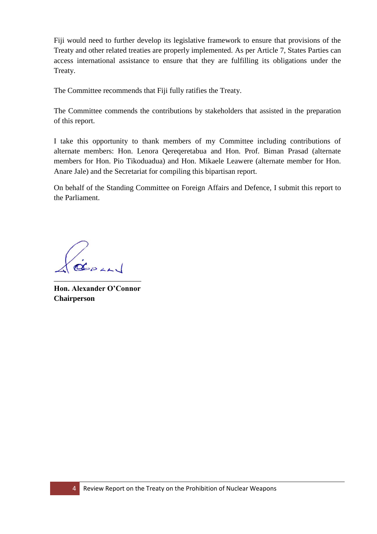Fiji would need to further develop its legislative framework to ensure that provisions of the Treaty and other related treaties are properly implemented. As per Article 7, States Parties can access international assistance to ensure that they are fulfilling its obligations under the Treaty.

The Committee recommends that Fiji fully ratifies the Treaty.

The Committee commends the contributions by stakeholders that assisted in the preparation of this report.

I take this opportunity to thank members of my Committee including contributions of alternate members: Hon. Lenora Qereqeretabua and Hon. Prof. Biman Prasad (alternate members for Hon. Pio Tikoduadua) and Hon. Mikaele Leawere (alternate member for Hon. Anare Jale) and the Secretariat for compiling this bipartisan report.

On behalf of the Standing Committee on Foreign Affairs and Defence, I submit this report to the Parliament.

GERLAN \_\_\_\_\_\_\_\_\_\_\_\_\_\_\_\_\_\_\_\_\_\_\_

**Hon. Alexander O'Connor Chairperson**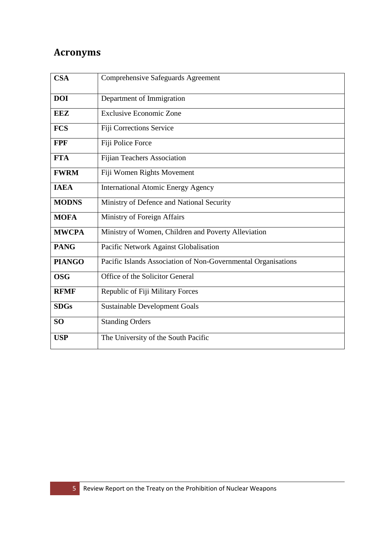## <span id="page-4-0"></span>**Acronyms**

| <b>CSA</b>    | <b>Comprehensive Safeguards Agreement</b>                     |
|---------------|---------------------------------------------------------------|
| <b>DOI</b>    | Department of Immigration                                     |
| <b>EEZ</b>    | <b>Exclusive Economic Zone</b>                                |
| <b>FCS</b>    | Fiji Corrections Service                                      |
| <b>FPF</b>    | Fiji Police Force                                             |
| <b>FTA</b>    | <b>Fijian Teachers Association</b>                            |
| <b>FWRM</b>   | Fiji Women Rights Movement                                    |
| <b>IAEA</b>   | <b>International Atomic Energy Agency</b>                     |
| <b>MODNS</b>  | Ministry of Defence and National Security                     |
| <b>MOFA</b>   | Ministry of Foreign Affairs                                   |
| <b>MWCPA</b>  | Ministry of Women, Children and Poverty Alleviation           |
| <b>PANG</b>   | Pacific Network Against Globalisation                         |
| <b>PIANGO</b> | Pacific Islands Association of Non-Governmental Organisations |
| <b>OSG</b>    | Office of the Solicitor General                               |
| <b>RFMF</b>   | Republic of Fiji Military Forces                              |
| <b>SDGs</b>   | <b>Sustainable Development Goals</b>                          |
| <b>SO</b>     | <b>Standing Orders</b>                                        |
| <b>USP</b>    | The University of the South Pacific                           |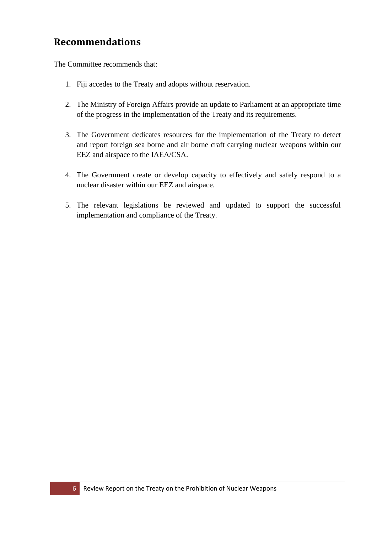## <span id="page-5-0"></span>**Recommendations**

The Committee recommends that:

- 1. Fiji accedes to the Treaty and adopts without reservation.
- 2. The Ministry of Foreign Affairs provide an update to Parliament at an appropriate time of the progress in the implementation of the Treaty and its requirements.
- 3. The Government dedicates resources for the implementation of the Treaty to detect and report foreign sea borne and air borne craft carrying nuclear weapons within our EEZ and airspace to the IAEA/CSA.
- 4. The Government create or develop capacity to effectively and safely respond to a nuclear disaster within our EEZ and airspace.
- 5. The relevant legislations be reviewed and updated to support the successful implementation and compliance of the Treaty.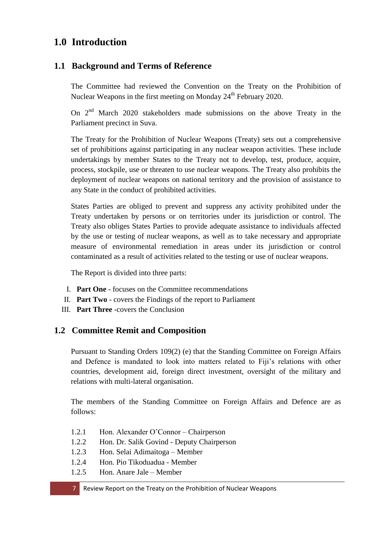## <span id="page-6-0"></span>**1.0 Introduction**

### <span id="page-6-1"></span>**1.1 Background and Terms of Reference**

The Committee had reviewed the Convention on the Treaty on the Prohibition of Nuclear Weapons in the first meeting on Monday 24<sup>th</sup> February 2020.

On  $2<sup>nd</sup>$  March 2020 stakeholders made submissions on the above Treaty in the Parliament precinct in Suva.

The Treaty for the Prohibition of Nuclear Weapons (Treaty) sets out a comprehensive set of prohibitions against participating in any nuclear weapon activities. These include undertakings by member States to the Treaty not to develop, test, produce, acquire, process, stockpile, use or threaten to use nuclear weapons. The Treaty also prohibits the deployment of nuclear weapons on national territory and the provision of assistance to any State in the conduct of prohibited activities.

States Parties are obliged to prevent and suppress any activity prohibited under the Treaty undertaken by persons or on territories under its jurisdiction or control. The Treaty also obliges States Parties to provide adequate assistance to individuals affected by the use or testing of nuclear weapons, as well as to take necessary and appropriate measure of environmental remediation in areas under its jurisdiction or control contaminated as a result of activities related to the testing or use of nuclear weapons.

The Report is divided into three parts:

- I. **Part One** focuses on the Committee recommendations
- II. **Part Two** covers the Findings of the report to Parliament
- III. **Part Three** -covers the Conclusion

### <span id="page-6-2"></span>**1.2 Committee Remit and Composition**

Pursuant to Standing Orders 109(2) (e) that the Standing Committee on Foreign Affairs and Defence is mandated to look into matters related to Fiji's relations with other countries, development aid, foreign direct investment, oversight of the military and relations with multi-lateral organisation.

The members of the Standing Committee on Foreign Affairs and Defence are as follows:

- 1.2.1 Hon. Alexander O'Connor Chairperson
- 1.2.2 Hon. Dr. Salik Govind Deputy Chairperson
- 1.2.3 Hon. Selai Adimaitoga Member
- 1.2.4 Hon. Pio Tikoduadua Member
- 1.2.5 Hon. Anare Jale Member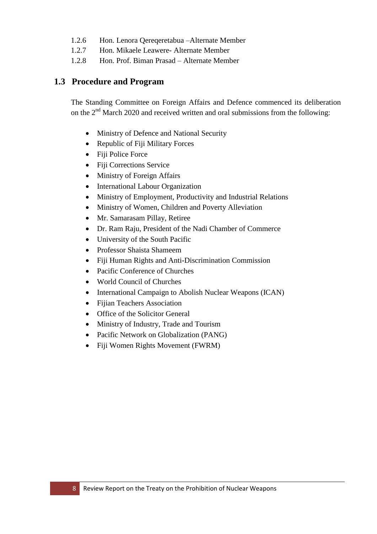- 1.2.6 Hon. Lenora Qereqeretabua –Alternate Member
- 1.2.7 Hon. Mikaele Leawere- Alternate Member
- 1.2.8 Hon. Prof. Biman Prasad Alternate Member

#### <span id="page-7-0"></span>**1.3 Procedure and Program**

The Standing Committee on Foreign Affairs and Defence commenced its deliberation on the  $2<sup>nd</sup>$  March 2020 and received written and oral submissions from the following:

- Ministry of Defence and National Security
- Republic of Fiji Military Forces
- Fiji Police Force
- Fiji Corrections Service
- Ministry of Foreign Affairs
- International Labour Organization
- Ministry of Employment, Productivity and Industrial Relations
- Ministry of Women, Children and Poverty Alleviation
- Mr. Samarasam Pillay, Retiree
- Dr. Ram Raju, President of the Nadi Chamber of Commerce
- University of the South Pacific
- Professor Shaista Shameem
- Fiji Human Rights and Anti-Discrimination Commission
- Pacific Conference of Churches
- World Council of Churches
- International Campaign to Abolish Nuclear Weapons (ICAN)
- Fijian Teachers Association
- Office of the Solicitor General
- Ministry of Industry, Trade and Tourism
- Pacific Network on Globalization (PANG)
- Fiji Women Rights Movement (FWRM)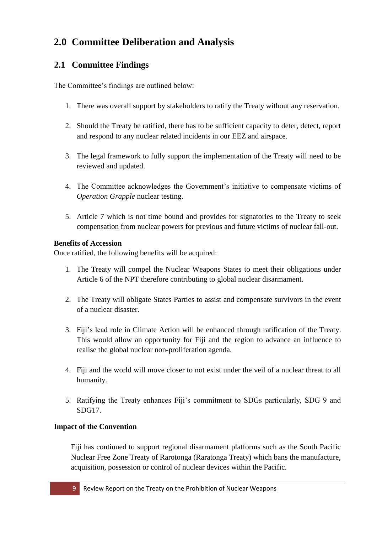## <span id="page-8-0"></span>**2.0 Committee Deliberation and Analysis**

### <span id="page-8-1"></span>**2.1 Committee Findings**

The Committee's findings are outlined below:

- 1. There was overall support by stakeholders to ratify the Treaty without any reservation.
- 2. Should the Treaty be ratified, there has to be sufficient capacity to deter, detect, report and respond to any nuclear related incidents in our EEZ and airspace.
- 3. The legal framework to fully support the implementation of the Treaty will need to be reviewed and updated.
- 4. The Committee acknowledges the Government's initiative to compensate victims of *Operation Grapple* nuclear testing.
- 5. Article 7 which is not time bound and provides for signatories to the Treaty to seek compensation from nuclear powers for previous and future victims of nuclear fall-out.

#### <span id="page-8-2"></span>**Benefits of Accession**

Once ratified, the following benefits will be acquired:

- 1. The Treaty will compel the Nuclear Weapons States to meet their obligations under Article 6 of the NPT therefore contributing to global nuclear disarmament.
- 2. The Treaty will obligate States Parties to assist and compensate survivors in the event of a nuclear disaster.
- 3. Fiji's lead role in Climate Action will be enhanced through ratification of the Treaty. This would allow an opportunity for Fiji and the region to advance an influence to realise the global nuclear non-proliferation agenda.
- 4. Fiji and the world will move closer to not exist under the veil of a nuclear threat to all humanity.
- 5. Ratifying the Treaty enhances Fiji's commitment to SDGs particularly, SDG 9 and SDG17.

### <span id="page-8-3"></span>**Impact of the Convention**

Fiji has continued to support regional disarmament platforms such as the South Pacific Nuclear Free Zone Treaty of Rarotonga (Raratonga Treaty) which bans the manufacture, acquisition, possession or control of nuclear devices within the Pacific.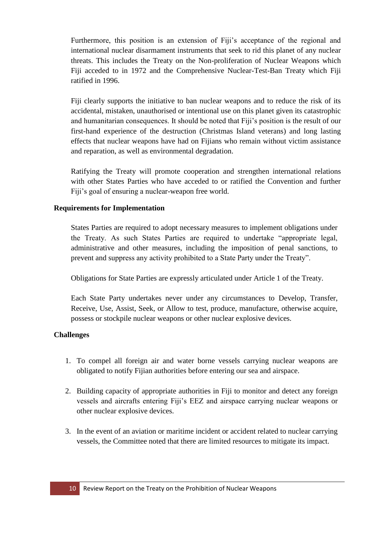Furthermore, this position is an extension of Fiji's acceptance of the regional and international nuclear disarmament instruments that seek to rid this planet of any nuclear threats. This includes the Treaty on the Non-proliferation of Nuclear Weapons which Fiji acceded to in 1972 and the Comprehensive Nuclear-Test-Ban Treaty which Fiji ratified in 1996.

Fiji clearly supports the initiative to ban nuclear weapons and to reduce the risk of its accidental, mistaken, unauthorised or intentional use on this planet given its catastrophic and humanitarian consequences. It should be noted that Fiji's position is the result of our first-hand experience of the destruction (Christmas Island veterans) and long lasting effects that nuclear weapons have had on Fijians who remain without victim assistance and reparation, as well as environmental degradation.

Ratifying the Treaty will promote cooperation and strengthen international relations with other States Parties who have acceded to or ratified the Convention and further Fiji's goal of ensuring a nuclear-weapon free world.

#### <span id="page-9-0"></span>**Requirements for Implementation**

States Parties are required to adopt necessary measures to implement obligations under the Treaty. As such States Parties are required to undertake "appropriate legal, administrative and other measures, including the imposition of penal sanctions, to prevent and suppress any activity prohibited to a State Party under the Treaty".

Obligations for State Parties are expressly articulated under Article 1 of the Treaty.

Each State Party undertakes never under any circumstances to Develop, Transfer, Receive, Use, Assist, Seek, or Allow to test, produce, manufacture, otherwise acquire, possess or stockpile nuclear weapons or other nuclear explosive devices.

#### <span id="page-9-1"></span>**Challenges**

- 1. To compel all foreign air and water borne vessels carrying nuclear weapons are obligated to notify Fijian authorities before entering our sea and airspace.
- 2. Building capacity of appropriate authorities in Fiji to monitor and detect any foreign vessels and aircrafts entering Fiji's EEZ and airspace carrying nuclear weapons or other nuclear explosive devices.
- 3. In the event of an aviation or maritime incident or accident related to nuclear carrying vessels, the Committee noted that there are limited resources to mitigate its impact.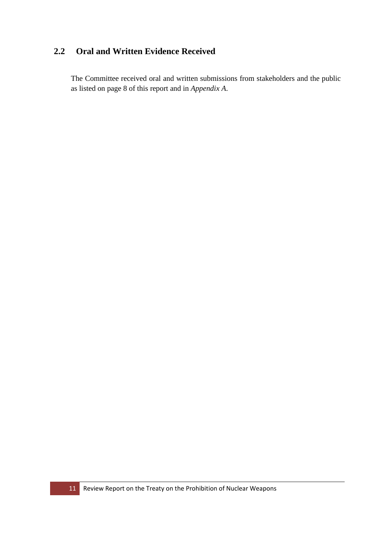### <span id="page-10-0"></span>**2.2 Oral and Written Evidence Received**

The Committee received oral and written submissions from stakeholders and the public as listed on page 8 of this report and in *Appendix A*.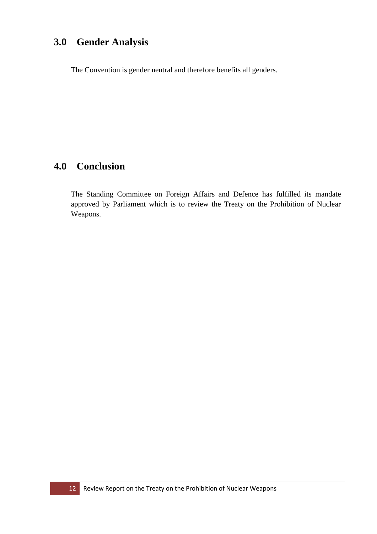## <span id="page-11-0"></span>**3.0 Gender Analysis**

The Convention is gender neutral and therefore benefits all genders.

## <span id="page-11-1"></span>**4.0 Conclusion**

The Standing Committee on Foreign Affairs and Defence has fulfilled its mandate approved by Parliament which is to review the Treaty on the Prohibition of Nuclear Weapons.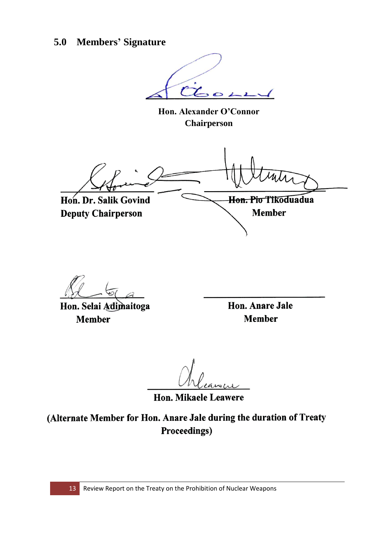## <span id="page-12-0"></span>**5.0 Members' Signature**

**Hon. Alexander O'Connor Chairperson**

Hon. Dr. Salik Govind Hon. Pio Tikoduadua **Deputy Chairperson Member** 

Hon. Selai Adimaitoga **Member** 

Hon. Anare Jale **Member** 

Hon. Mikaele Leawere

(Alternate Member for Hon. Anare Jale during the duration of Treaty **Proceedings)**